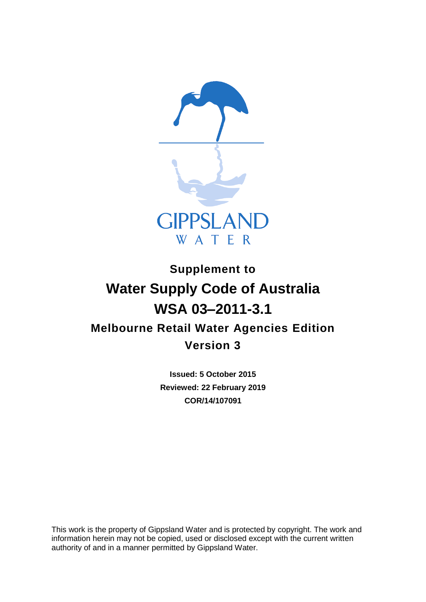

# **Supplement to Water Supply Code of Australia WSA 03–2011-3.1 Melbourne Retail Water Agencies Edition Version 3**

**Issued: 5 October 2015 Reviewed: 22 February 2019 COR/14/107091**

This work is the property of Gippsland Water and is protected by copyright. The work and information herein may not be copied, used or disclosed except with the current written authority of and in a manner permitted by Gippsland Water.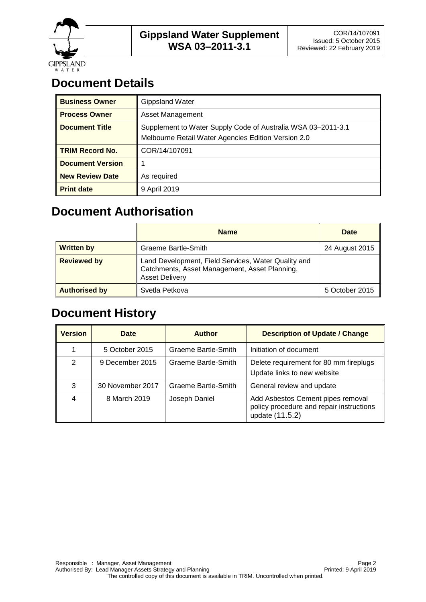

## **Document Details**

| <b>Business Owner</b>   | <b>Gippsland Water</b>                                                                                              |
|-------------------------|---------------------------------------------------------------------------------------------------------------------|
| <b>Process Owner</b>    | Asset Management                                                                                                    |
| <b>Document Title</b>   | Supplement to Water Supply Code of Australia WSA 03-2011-3.1<br>Melbourne Retail Water Agencies Edition Version 2.0 |
| <b>TRIM Record No.</b>  | COR/14/107091                                                                                                       |
| <b>Document Version</b> |                                                                                                                     |
| <b>New Review Date</b>  | As required                                                                                                         |
| <b>Print date</b>       | 9 April 2019                                                                                                        |

### **Document Authorisation**

|                      | <b>Name</b>                                                                                                                   | Date           |
|----------------------|-------------------------------------------------------------------------------------------------------------------------------|----------------|
| <b>Written by</b>    | <b>Graeme Bartle-Smith</b>                                                                                                    | 24 August 2015 |
| <b>Reviewed by</b>   | Land Development, Field Services, Water Quality and<br>Catchments, Asset Management, Asset Planning,<br><b>Asset Delivery</b> |                |
| <b>Authorised by</b> | Svetla Petkova                                                                                                                | 5 October 2015 |

### **Document History**

| <b>Version</b> | Date             | <b>Author</b>       | <b>Description of Update / Change</b>                                                            |
|----------------|------------------|---------------------|--------------------------------------------------------------------------------------------------|
|                | 5 October 2015   | Graeme Bartle-Smith | Initiation of document                                                                           |
| 2              | 9 December 2015  | Graeme Bartle-Smith | Delete requirement for 80 mm fireplugs<br>Update links to new website                            |
| 3              | 30 November 2017 | Graeme Bartle-Smith | General review and update                                                                        |
| 4              | 8 March 2019     | Joseph Daniel       | Add Asbestos Cement pipes removal<br>policy procedure and repair instructions<br>update (11.5.2) |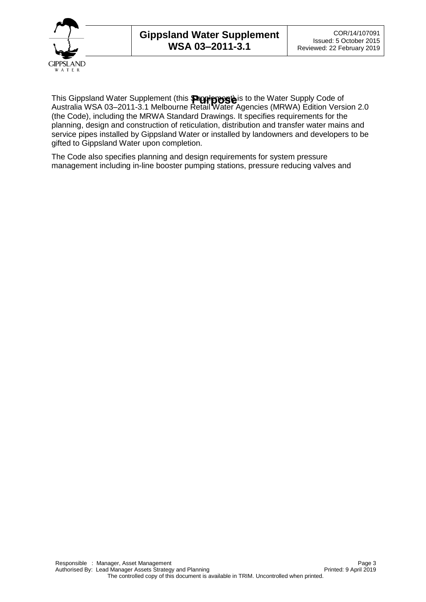

This Gippsland Water Supplement (this **Supplemest)** is to the Water Supply Code of<br>Australia WSA 03–2011-3.1 Melbourne Retail Water Agencies (MRWA) Edition Version 2.0 (the Code), including the MRWA Standard Drawings. It specifies requirements for the planning, design and construction of reticulation, distribution and transfer water mains and service pipes installed by Gippsland Water or installed by landowners and developers to be gifted to Gippsland Water upon completion.

The Code also specifies planning and design requirements for system pressure management including in-line booster pumping stations, pressure reducing valves and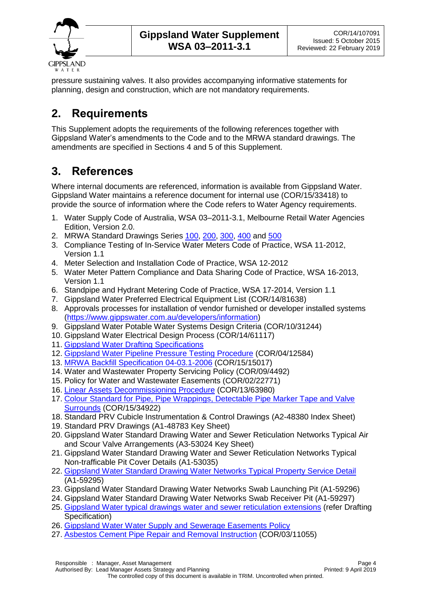

pressure sustaining valves. It also provides accompanying informative statements for planning, design and construction, which are not mandatory requirements.

#### **2. Requirements**

This Supplement adopts the requirements of the following references together with Gippsland Water's amendments to the Code and to the MRWA standard drawings. The amendments are specified in Sections 4 and 5 of this Supplement.

### **3. References**

Where internal documents are referenced, information is available from Gippsland Water. Gippsland Water maintains a reference document for internal use (COR/15/33418) to provide the source of information where the Code refers to Water Agency requirements.

- 1. Water Supply Code of Australia, WSA 03–2011-3.1, Melbourne Retail Water Agencies Edition, Version 2.0.
- 2. MRWA Standard Drawings Series [100,](http://mrwa.com.au/Documents/Standards/MRWAWSA03/100%20Series.pdf) [200,](http://mrwa.com.au/Documents/Standards/MRWAWSA03/200%20Series.pdf) [300,](http://mrwa.com.au/Documents/Standards/MRWAWSA03/300%20Series.pdf) [400](http://mrwa.com.au/Documents/Standards/MRWAWSA03/400%20Series.pdf) and [500](http://mrwa.com.au/Documents/Standards/MRWAWSA03/500%20Series.pdf)
- 3. Compliance Testing of In-Service Water Meters Code of Practice, WSA 11-2012, Version 1.1
- 4. Meter Selection and Installation Code of Practice, WSA 12-2012
- 5. Water Meter Pattern Compliance and Data Sharing Code of Practice, WSA 16-2013, Version 1.1
- 6. Standpipe and Hydrant Metering Code of Practice, WSA 17-2014, Version 1.1
- 7. Gippsland Water Preferred Electrical Equipment List (COR/14/81638)
- 8. Approvals processes for installation of vendor furnished or developer installed systems [\(https://www.gippswater.com.au/developers/information\)](https://www.gippswater.com.au/developers/information)
- 9. Gippsland Water Potable Water Systems Design Criteria (COR/10/31244)
- 10. Gippsland Water Electrical Design Process (COR/14/61117)
- <span id="page-3-3"></span>11. [Gippsland Water Drafting Specifications](https://www.gippswater.com.au/developers/information/drafting-specifications)
- <span id="page-3-4"></span>12. [Gippsland Water Pipeline Pressure Testing Procedure](https://www.gippswater.com.au/developers/information/information-design-consultants) (COR/04/12584)
- 13. [MRWA Backfill Specification 04-03.1-2006](https://www.gippswater.com.au/developers/information/national-codes-our-addendums) (COR/15/15017)
- 14. Water and Wastewater Property Servicing Policy (COR/09/4492)
- 15. Policy for Water and Wastewater Easements (COR/02/22771)
- 16. [Linear Assets Decommissioning Procedure](https://www.gippswater.com.au/application/files/4515/5251/6254/Linear_Asset_Decommissioning_Procedure.DOCX) (COR/13/63980)
- <span id="page-3-5"></span>17. [Colour Standard for Pipe, Pipe Wrappings, Detectable Pipe Marker Tape and Valve](https://www.gippswater.com.au/developers/information/information-accredited-pipelayers)  [Surrounds](https://www.gippswater.com.au/developers/information/information-accredited-pipelayers) (COR/15/34922)
- 18. Standard PRV Cubicle Instrumentation & Control Drawings (A2-48380 Index Sheet)
- 19. Standard PRV Drawings (A1-48783 Key Sheet)
- <span id="page-3-0"></span>20. Gippsland Water Standard Drawing Water and Sewer Reticulation Networks Typical Air and Scour Valve Arrangements (A3-53024 Key Sheet)
- 21. Gippsland Water Standard Drawing Water and Sewer Reticulation Networks Typical Non-trafficable Pit Cover Details (A1-53035)
- 22. [Gippsland Water Standard Drawing Water Networks Typical Property Service Detail](https://www.gippswater.com.au/developers/information/information-accredited-pipelayers) (A1-59295)
- <span id="page-3-1"></span>23. Gippsland Water Standard Drawing Water Networks Swab Launching Pit (A1-59296)
- <span id="page-3-2"></span>24. Gippsland Water Standard Drawing Water Networks Swab Receiver Pit (A1-59297)
- 25. [Gippsland Water typical drawings water and sewer reticulation extensions](https://www.gippswater.com.au/developers/information/drafting-specifications) (refer Drafting Specification)
- 26. [Gippsland Water Water Supply and Sewerage Easements Policy](https://www.gippswater.com.au/application/files/7414/7139/7706/WATER_SUPPLY_AND_SEWERAGE_EASEMENTS_POLICY.pdf)
- 27. [Asbestos Cement Pipe Repair and Removal Instruction](https://www.gippswater.com.au/application/files/8215/5251/6226/Asbestos_Cement_Pipe_Repair_and_Removal_Instruction.DOCX) (COR/03/11055)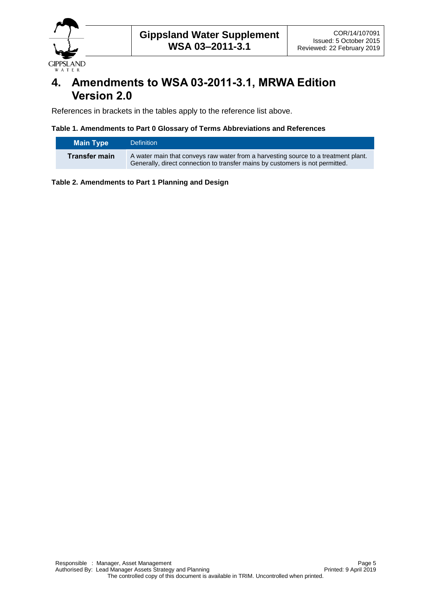

#### **4. Amendments to WSA 03-2011-3.1, MRWA Edition Version 2.0**

References in brackets in the tables apply to the reference list above.

#### **Table 1. Amendments to Part 0 Glossary of Terms Abbreviations and References**

| Main Type            | <b>Definition</b>                                                                                                                                                   |
|----------------------|---------------------------------------------------------------------------------------------------------------------------------------------------------------------|
| <b>Transfer main</b> | A water main that conveys raw water from a harvesting source to a treatment plant.<br>Generally, direct connection to transfer mains by customers is not permitted. |

**Table 2. Amendments to Part 1 Planning and Design**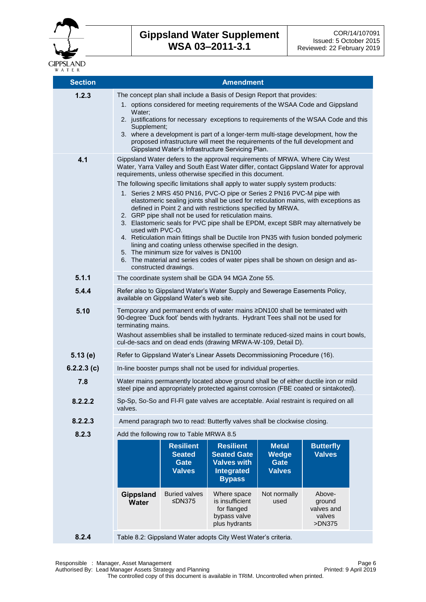

| <b>Section</b> | <b>Amendment</b>                                                                                                                                                                                                                                                                                                                                                                                                                                                                                                                                                                                                                                                                                                                                                                                 |                                                                                                                                                                    |                                                                                                    |                                                              |                                                    |  |
|----------------|--------------------------------------------------------------------------------------------------------------------------------------------------------------------------------------------------------------------------------------------------------------------------------------------------------------------------------------------------------------------------------------------------------------------------------------------------------------------------------------------------------------------------------------------------------------------------------------------------------------------------------------------------------------------------------------------------------------------------------------------------------------------------------------------------|--------------------------------------------------------------------------------------------------------------------------------------------------------------------|----------------------------------------------------------------------------------------------------|--------------------------------------------------------------|----------------------------------------------------|--|
| 1.2.3          | The concept plan shall include a Basis of Design Report that provides:<br>1. options considered for meeting requirements of the WSAA Code and Gippsland                                                                                                                                                                                                                                                                                                                                                                                                                                                                                                                                                                                                                                          |                                                                                                                                                                    |                                                                                                    |                                                              |                                                    |  |
|                | Water;<br>2. justifications for necessary exceptions to requirements of the WSAA Code and this<br>Supplement;                                                                                                                                                                                                                                                                                                                                                                                                                                                                                                                                                                                                                                                                                    |                                                                                                                                                                    |                                                                                                    |                                                              |                                                    |  |
|                | Gippsland Water's Infrastructure Servicing Plan.                                                                                                                                                                                                                                                                                                                                                                                                                                                                                                                                                                                                                                                                                                                                                 | 3. where a development is part of a longer-term multi-stage development, how the<br>proposed infrastructure will meet the requirements of the full development and |                                                                                                    |                                                              |                                                    |  |
| 4.1            | Gippsland Water defers to the approval requirements of MRWA. Where City West<br>Water, Yarra Valley and South East Water differ, contact Gippsland Water for approval<br>requirements, unless otherwise specified in this document.                                                                                                                                                                                                                                                                                                                                                                                                                                                                                                                                                              |                                                                                                                                                                    |                                                                                                    |                                                              |                                                    |  |
|                | The following specific limitations shall apply to water supply system products:<br>1. Series 2 MRS 450 PN16, PVC-O pipe or Series 2 PN16 PVC-M pipe with<br>elastomeric sealing joints shall be used for reticulation mains, with exceptions as<br>defined in Point 2 and with restrictions specified by MRWA.<br>2. GRP pipe shall not be used for reticulation mains.<br>3. Elastomeric seals for PVC pipe shall be EPDM, except SBR may alternatively be<br>used with PVC-O.<br>4. Reticulation main fittings shall be Ductile Iron PN35 with fusion bonded polymeric<br>lining and coating unless otherwise specified in the design.<br>5. The minimum size for valves is DN100<br>6. The material and series codes of water pipes shall be shown on design and as-<br>constructed drawings. |                                                                                                                                                                    |                                                                                                    |                                                              |                                                    |  |
| 5.1.1          |                                                                                                                                                                                                                                                                                                                                                                                                                                                                                                                                                                                                                                                                                                                                                                                                  |                                                                                                                                                                    | The coordinate system shall be GDA 94 MGA Zone 55.                                                 |                                                              |                                                    |  |
| 5.4.4          | Refer also to Gippsland Water's Water Supply and Sewerage Easements Policy,<br>available on Gippsland Water's web site.                                                                                                                                                                                                                                                                                                                                                                                                                                                                                                                                                                                                                                                                          |                                                                                                                                                                    |                                                                                                    |                                                              |                                                    |  |
| 5.10           | Temporary and permanent ends of water mains ≥DN100 shall be terminated with<br>90-degree 'Duck foot' bends with hydrants. Hydrant Tees shall not be used for<br>terminating mains.                                                                                                                                                                                                                                                                                                                                                                                                                                                                                                                                                                                                               |                                                                                                                                                                    |                                                                                                    |                                                              |                                                    |  |
|                | Washout assemblies shall be installed to terminate reduced-sized mains in court bowls,<br>cul-de-sacs and on dead ends (drawing MRWA-W-109, Detail D).                                                                                                                                                                                                                                                                                                                                                                                                                                                                                                                                                                                                                                           |                                                                                                                                                                    |                                                                                                    |                                                              |                                                    |  |
| 5.13(e)        | Refer to Gippsland Water's Linear Assets Decommissioning Procedure (16).                                                                                                                                                                                                                                                                                                                                                                                                                                                                                                                                                                                                                                                                                                                         |                                                                                                                                                                    |                                                                                                    |                                                              |                                                    |  |
| 6.2.2.3(c)     | In-line booster pumps shall not be used for individual properties.                                                                                                                                                                                                                                                                                                                                                                                                                                                                                                                                                                                                                                                                                                                               |                                                                                                                                                                    |                                                                                                    |                                                              |                                                    |  |
| 7.8            | Water mains permanently located above ground shall be of either ductile iron or mild<br>steel pipe and appropriately protected against corrosion (FBE coated or sintakoted).                                                                                                                                                                                                                                                                                                                                                                                                                                                                                                                                                                                                                     |                                                                                                                                                                    |                                                                                                    |                                                              |                                                    |  |
| 8.2.2.2        | Sp-Sp, So-So and FI-FI gate valves are acceptable. Axial restraint is required on all<br>valves.                                                                                                                                                                                                                                                                                                                                                                                                                                                                                                                                                                                                                                                                                                 |                                                                                                                                                                    |                                                                                                    |                                                              |                                                    |  |
| 8.2.2.3        |                                                                                                                                                                                                                                                                                                                                                                                                                                                                                                                                                                                                                                                                                                                                                                                                  |                                                                                                                                                                    | Amend paragraph two to read: Butterfly valves shall be clockwise closing.                          |                                                              |                                                    |  |
| 8.2.3          |                                                                                                                                                                                                                                                                                                                                                                                                                                                                                                                                                                                                                                                                                                                                                                                                  | Add the following row to Table MRWA 8.5                                                                                                                            |                                                                                                    |                                                              |                                                    |  |
|                |                                                                                                                                                                                                                                                                                                                                                                                                                                                                                                                                                                                                                                                                                                                                                                                                  | <b>Resilient</b><br><b>Seated</b><br>Gate<br><b>Valves</b>                                                                                                         | <b>Resilient</b><br><b>Seated Gate</b><br><b>Valves with</b><br><b>Integrated</b><br><b>Bypass</b> | <b>Metal</b><br><b>Wedge</b><br><b>Gate</b><br><b>Valves</b> | <b>Butterfly</b><br><b>Valves</b>                  |  |
|                | <b>Gippsland</b><br><b>Water</b>                                                                                                                                                                                                                                                                                                                                                                                                                                                                                                                                                                                                                                                                                                                                                                 | <b>Buried valves</b><br>≤DN375                                                                                                                                     | Where space<br>is insufficient<br>for flanged<br>bypass valve<br>plus hydrants                     | Not normally<br>used                                         | Above-<br>ground<br>valves and<br>valves<br>>DN375 |  |
| 8.2.4          | Table 8.2: Gippsland Water adopts City West Water's criteria.                                                                                                                                                                                                                                                                                                                                                                                                                                                                                                                                                                                                                                                                                                                                    |                                                                                                                                                                    |                                                                                                    |                                                              |                                                    |  |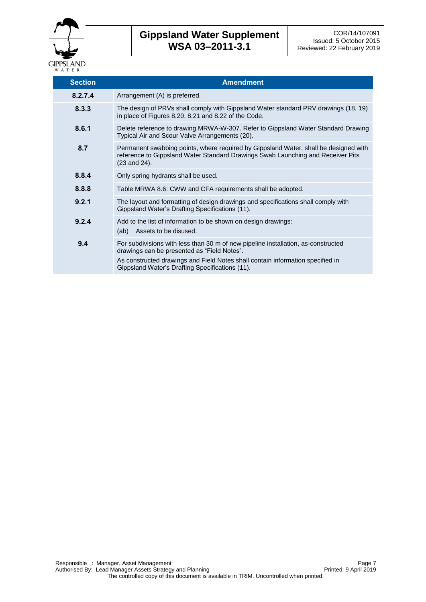

| <b>Section</b> | <b>Amendment</b>                                                                                                                                                                                                                                                      |
|----------------|-----------------------------------------------------------------------------------------------------------------------------------------------------------------------------------------------------------------------------------------------------------------------|
| 8.2.7.4        | Arrangement (A) is preferred.                                                                                                                                                                                                                                         |
| 8.3.3          | The design of PRVs shall comply with Gippsland Water standard PRV drawings (18, 19)<br>in place of Figures 8.20, 8.21 and 8.22 of the Code.                                                                                                                           |
| 8.6.1          | Delete reference to drawing MRWA-W-307. Refer to Gippsland Water Standard Drawing<br>Typical Air and Scour Valve Arrangements (20).                                                                                                                                   |
| 8.7            | Permanent swabbing points, where required by Gippsland Water, shall be designed with<br>reference to Gippsland Water Standard Drawings Swab Launching and Receiver Pits<br>$(23 \text{ and } 24)$ .                                                                   |
| 8.8.4          | Only spring hydrants shall be used.                                                                                                                                                                                                                                   |
| 8.8.8          | Table MRWA 8.6: CWW and CFA requirements shall be adopted.                                                                                                                                                                                                            |
| 9.2.1          | The layout and formatting of design drawings and specifications shall comply with<br>Gippsland Water's Drafting Specifications (11).                                                                                                                                  |
| 9.2.4          | Add to the list of information to be shown on design drawings:<br>Assets to be disused.<br>(ab)                                                                                                                                                                       |
| 9.4            | For subdivisions with less than 30 m of new pipeline installation, as-constructed<br>drawings can be presented as "Field Notes".<br>As constructed drawings and Field Notes shall contain information specified in<br>Gippsland Water's Drafting Specifications (11). |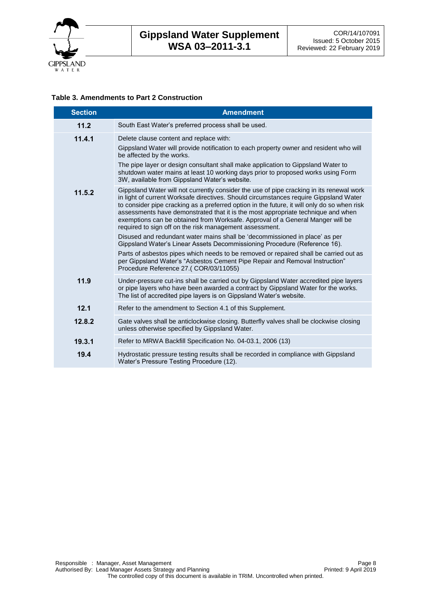

#### **Table 3. Amendments to Part 2 Construction**

| <b>Section</b> | <b>Amendment</b>                                                                                                                                                                                                                                                                                                                                                                                                                                                                                                                                                                                                                                                                                                                                                                                                                                                                                |
|----------------|-------------------------------------------------------------------------------------------------------------------------------------------------------------------------------------------------------------------------------------------------------------------------------------------------------------------------------------------------------------------------------------------------------------------------------------------------------------------------------------------------------------------------------------------------------------------------------------------------------------------------------------------------------------------------------------------------------------------------------------------------------------------------------------------------------------------------------------------------------------------------------------------------|
| 11.2           | South East Water's preferred process shall be used.                                                                                                                                                                                                                                                                                                                                                                                                                                                                                                                                                                                                                                                                                                                                                                                                                                             |
| 11.4.1         | Delete clause content and replace with:<br>Gippsland Water will provide notification to each property owner and resident who will<br>be affected by the works.<br>The pipe layer or design consultant shall make application to Gippsland Water to<br>shutdown water mains at least 10 working days prior to proposed works using Form<br>3W, available from Gippsland Water's website.                                                                                                                                                                                                                                                                                                                                                                                                                                                                                                         |
| 11.5.2         | Gippsland Water will not currently consider the use of pipe cracking in its renewal work<br>in light of current Worksafe directives. Should circumstances require Gippsland Water<br>to consider pipe cracking as a preferred option in the future, it will only do so when risk<br>assessments have demonstrated that it is the most appropriate technique and when<br>exemptions can be obtained from Worksafe. Approval of a General Manger will be<br>required to sign off on the risk management assessment.<br>Disused and redundant water mains shall be 'decommissioned in place' as per<br>Gippsland Water's Linear Assets Decommissioning Procedure (Reference 16).<br>Parts of asbestos pipes which needs to be removed or repaired shall be carried out as<br>per Gippsland Water's "Asbestos Cement Pipe Repair and Removal Instruction"<br>Procedure Reference 27.( COR/03/11055) |
| 11.9           | Under-pressure cut-ins shall be carried out by Gippsland Water accredited pipe layers<br>or pipe layers who have been awarded a contract by Gippsland Water for the works.<br>The list of accredited pipe layers is on Gippsland Water's website.                                                                                                                                                                                                                                                                                                                                                                                                                                                                                                                                                                                                                                               |
| 12.1           | Refer to the amendment to Section 4.1 of this Supplement.                                                                                                                                                                                                                                                                                                                                                                                                                                                                                                                                                                                                                                                                                                                                                                                                                                       |
| 12.8.2         | Gate valves shall be anticlockwise closing. Butterfly valves shall be clockwise closing<br>unless otherwise specified by Gippsland Water.                                                                                                                                                                                                                                                                                                                                                                                                                                                                                                                                                                                                                                                                                                                                                       |
| 19.3.1         | Refer to MRWA Backfill Specification No. 04-03.1, 2006 (13)                                                                                                                                                                                                                                                                                                                                                                                                                                                                                                                                                                                                                                                                                                                                                                                                                                     |
| 19.4           | Hydrostatic pressure testing results shall be recorded in compliance with Gippsland<br>Water's Pressure Testing Procedure (12).                                                                                                                                                                                                                                                                                                                                                                                                                                                                                                                                                                                                                                                                                                                                                                 |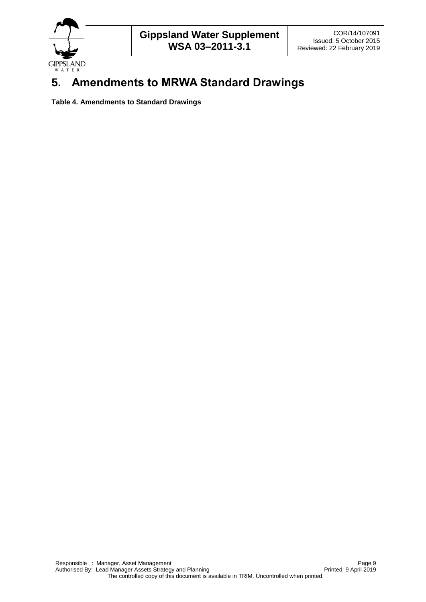

## **5. Amendments to MRWA Standard Drawings**

**Table 4. Amendments to Standard Drawings**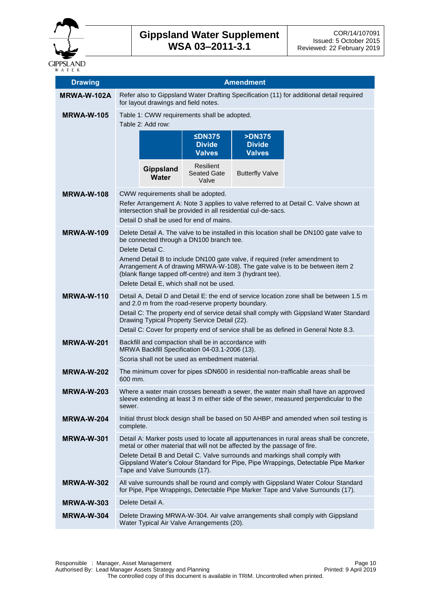

| <b>Drawing</b>     | <b>Amendment</b>                                                                                                                                                                                                                                                                                                                                                                                                                   |                                |                                                                                                                                                          |                                                                           |                                                                                                                                                                                                                                                                 |
|--------------------|------------------------------------------------------------------------------------------------------------------------------------------------------------------------------------------------------------------------------------------------------------------------------------------------------------------------------------------------------------------------------------------------------------------------------------|--------------------------------|----------------------------------------------------------------------------------------------------------------------------------------------------------|---------------------------------------------------------------------------|-----------------------------------------------------------------------------------------------------------------------------------------------------------------------------------------------------------------------------------------------------------------|
| <b>MRWA-W-102A</b> | Refer also to Gippsland Water Drafting Specification (11) for additional detail required<br>for layout drawings and field notes.                                                                                                                                                                                                                                                                                                   |                                |                                                                                                                                                          |                                                                           |                                                                                                                                                                                                                                                                 |
| <b>MRWA-W-105</b>  | Table 1: CWW requirements shall be adopted.                                                                                                                                                                                                                                                                                                                                                                                        |                                |                                                                                                                                                          |                                                                           |                                                                                                                                                                                                                                                                 |
|                    | Table 2: Add row:                                                                                                                                                                                                                                                                                                                                                                                                                  |                                |                                                                                                                                                          |                                                                           |                                                                                                                                                                                                                                                                 |
|                    |                                                                                                                                                                                                                                                                                                                                                                                                                                    |                                | SDN375<br><b>Divide</b><br><b>Valves</b>                                                                                                                 | <b>&gt;DN375</b><br><b>Divide</b><br><b>Valves</b>                        |                                                                                                                                                                                                                                                                 |
|                    |                                                                                                                                                                                                                                                                                                                                                                                                                                    | <b>Gippsland</b><br>Water      | Resilient<br>Seated Gate<br>Valve                                                                                                                        | <b>Butterfly Valve</b>                                                    |                                                                                                                                                                                                                                                                 |
| <b>MRWA-W-108</b>  |                                                                                                                                                                                                                                                                                                                                                                                                                                    |                                | CWW requirements shall be adopted.<br>Detail D shall be used for end of mains.                                                                           | intersection shall be provided in all residential cul-de-sacs.            | Refer Arrangement A: Note 3 applies to valve referred to at Detail C. Valve shown at                                                                                                                                                                            |
| <b>MRWA-W-109</b>  | Delete Detail A. The valve to be installed in this location shall be DN100 gate valve to<br>be connected through a DN100 branch tee.<br>Delete Detail C.<br>Amend Detail B to include DN100 gate valve, if required (refer amendment to<br>Arrangement A of drawing MRWA-W-108). The gate valve is to be between item 2<br>(blank flange tapped off-centre) and item 3 (hydrant tee).<br>Delete Detail E, which shall not be used. |                                |                                                                                                                                                          |                                                                           |                                                                                                                                                                                                                                                                 |
| <b>MRWA-W-110</b>  | Detail A, Detail D and Detail E: the end of service location zone shall be between 1.5 m<br>and 2.0 m from the road-reserve property boundary.<br>Detail C: The property end of service detail shall comply with Gippsland Water Standard<br>Drawing Typical Property Service Detail (22).<br>Detail C: Cover for property end of service shall be as defined in General Note 8.3.                                                 |                                |                                                                                                                                                          |                                                                           |                                                                                                                                                                                                                                                                 |
| <b>MRWA-W-201</b>  |                                                                                                                                                                                                                                                                                                                                                                                                                                    |                                | Backfill and compaction shall be in accordance with<br>MRWA Backfill Specification 04-03.1-2006 (13).<br>Scoria shall not be used as embedment material. |                                                                           |                                                                                                                                                                                                                                                                 |
| <b>MRWA-W-202</b>  | 600 mm.                                                                                                                                                                                                                                                                                                                                                                                                                            |                                |                                                                                                                                                          |                                                                           | The minimum cover for pipes ≤DN600 in residential non-trafficable areas shall be                                                                                                                                                                                |
| <b>MRWA-W-203</b>  | sewer.                                                                                                                                                                                                                                                                                                                                                                                                                             |                                |                                                                                                                                                          |                                                                           | Where a water main crosses beneath a sewer, the water main shall have an approved<br>sleeve extending at least 3 m either side of the sewer, measured perpendicular to the                                                                                      |
| <b>MRWA-W-204</b>  | complete.                                                                                                                                                                                                                                                                                                                                                                                                                          |                                |                                                                                                                                                          |                                                                           | Initial thrust block design shall be based on 50 AHBP and amended when soil testing is                                                                                                                                                                          |
| <b>MRWA-W-301</b>  |                                                                                                                                                                                                                                                                                                                                                                                                                                    | Tape and Valve Surrounds (17). |                                                                                                                                                          | metal or other material that will not be affected by the passage of fire. | Detail A: Marker posts used to locate all appurtenances in rural areas shall be concrete,<br>Delete Detail B and Detail C. Valve surrounds and markings shall comply with<br>Gippsland Water's Colour Standard for Pipe, Pipe Wrappings, Detectable Pipe Marker |
| <b>MRWA-W-302</b>  |                                                                                                                                                                                                                                                                                                                                                                                                                                    |                                |                                                                                                                                                          |                                                                           | All valve surrounds shall be round and comply with Gippsland Water Colour Standard<br>for Pipe, Pipe Wrappings, Detectable Pipe Marker Tape and Valve Surrounds (17).                                                                                           |
| <b>MRWA-W-303</b>  |                                                                                                                                                                                                                                                                                                                                                                                                                                    | Delete Detail A.               |                                                                                                                                                          |                                                                           |                                                                                                                                                                                                                                                                 |
| <b>MRWA-W-304</b>  |                                                                                                                                                                                                                                                                                                                                                                                                                                    |                                | Water Typical Air Valve Arrangements (20).                                                                                                               |                                                                           | Delete Drawing MRWA-W-304. Air valve arrangements shall comply with Gippsland                                                                                                                                                                                   |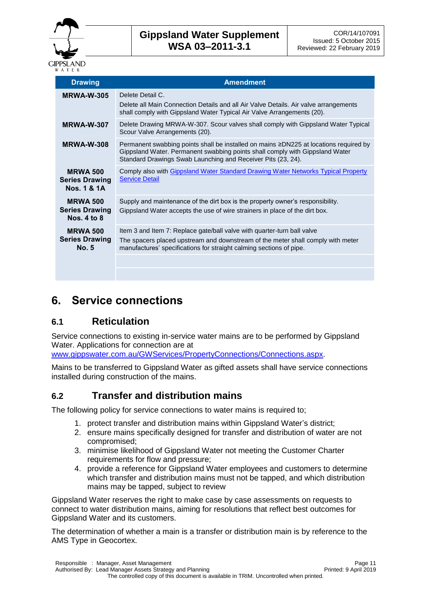

| <b>Drawing</b>                                           | <b>Amendment</b>                                                                                                                                                                                                                      |
|----------------------------------------------------------|---------------------------------------------------------------------------------------------------------------------------------------------------------------------------------------------------------------------------------------|
| <b>MRWA-W-305</b>                                        | Delete Detail C.<br>Delete all Main Connection Details and all Air Valve Details. Air valve arrangements<br>shall comply with Gippsland Water Typical Air Valve Arrangements (20).                                                    |
| MRWA-W-307                                               | Delete Drawing MRWA-W-307. Scour valves shall comply with Gippsland Water Typical<br>Scour Valve Arrangements (20).                                                                                                                   |
| <b>MRWA-W-308</b>                                        | Permanent swabbing points shall be installed on mains ≥DN225 at locations required by<br>Gippsland Water. Permanent swabbing points shall comply with Gippsland Water<br>Standard Drawings Swab Launching and Receiver Pits (23, 24). |
| <b>MRWA 500</b><br><b>Series Drawing</b><br>Nos. 1 & 1A  | Comply also with Gippsland Water Standard Drawing Water Networks Typical Property<br><b>Service Detail</b>                                                                                                                            |
| <b>MRWA 500</b><br><b>Series Drawing</b><br>Nos. 4 to 8  | Supply and maintenance of the dirt box is the property owner's responsibility.<br>Gippsland Water accepts the use of wire strainers in place of the dirt box.                                                                         |
| <b>MRWA 500</b><br><b>Series Drawing</b><br><b>No. 5</b> | Item 3 and Item 7: Replace gate/ball valve with quarter-turn ball valve<br>The spacers placed upstream and downstream of the meter shall comply with meter<br>manufactures' specifications for straight calming sections of pipe.     |
|                                                          |                                                                                                                                                                                                                                       |
|                                                          |                                                                                                                                                                                                                                       |

#### **6. Service connections**

#### **6.1 Reticulation**

Service connections to existing in-service water mains are to be performed by Gippsland Water. Applications for connection are at

[www.gippswater.com.au/GWServices/PropertyConnections/Connections.aspx.](http://www.gippswater.com.au/GWServices/PropertyConnections/Connections.aspx)

Mains to be transferred to Gippsland Water as gifted assets shall have service connections installed during construction of the mains.

#### **6.2 Transfer and distribution mains**

The following policy for service connections to water mains is required to;

- 1. protect transfer and distribution mains within Gippsland Water's district;
- 2. ensure mains specifically designed for transfer and distribution of water are not compromised;
- 3. minimise likelihood of Gippsland Water not meeting the Customer Charter requirements for flow and pressure;
- 4. provide a reference for Gippsland Water employees and customers to determine which transfer and distribution mains must not be tapped, and which distribution mains may be tapped, subject to review

Gippsland Water reserves the right to make case by case assessments on requests to connect to water distribution mains, aiming for resolutions that reflect best outcomes for Gippsland Water and its customers.

The determination of whether a main is a transfer or distribution main is by reference to the AMS Type in Geocortex.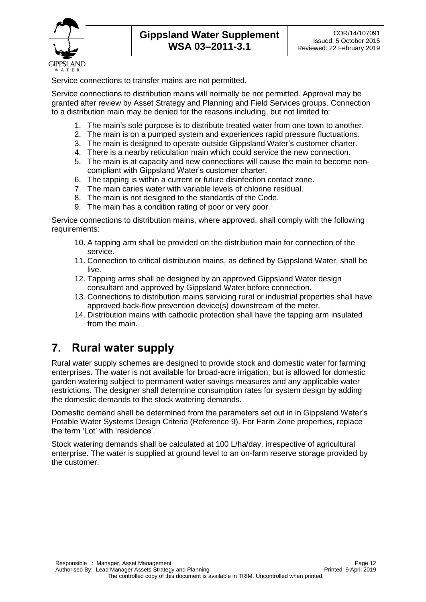

Service connections to transfer mains are not permitted.

Service connections to distribution mains will normally be not permitted. Approval may be granted after review by Asset Strategy and Planning and Field Services groups. Connection to a distribution main may be denied for the reasons including, but not limited to:

- 1. The main's sole purpose is to distribute treated water from one town to another.
- 2. The main is on a pumped system and experiences rapid pressure fluctuations.
- 3. The main is designed to operate outside Gippsland Water's customer charter.
- 4. There is a nearby reticulation main which could service the new connection.
- 5. The main is at capacity and new connections will cause the main to become noncompliant with Gippsland Water's customer charter.
- 6. The tapping is within a current or future disinfection contact zone.
- 7. The main caries water with variable levels of chlorine residual.
- 8. The main is not designed to the standards of the Code.
- 9. The main has a condition rating of poor or very poor.

Service connections to distribution mains, where approved, shall comply with the following requirements:

- 10. A tapping arm shall be provided on the distribution main for connection of the service.
- 11. Connection to critical distribution mains, as defined by Gippsland Water, shall be live.
- 12. Tapping arms shall be designed by an approved Gippsland Water design consultant and approved by Gippsland Water before connection.
- 13. Connections to distribution mains servicing rural or industrial properties shall have approved back-flow prevention device(s) downstream of the meter.
- 14. Distribution mains with cathodic protection shall have the tapping arm insulated from the main.

#### **7. Rural water supply**

Rural water supply schemes are designed to provide stock and domestic water for farming enterprises. The water is not available for broad-acre irrigation, but is allowed for domestic garden watering subject to permanent water savings measures and any applicable water restrictions. The designer shall determine consumption rates for system design by adding the domestic demands to the stock watering demands.

Domestic demand shall be determined from the parameters set out in in Gippsland Water's Potable Water Systems Design Criteria (Reference 9). For Farm Zone properties, replace the term 'Lot' with 'residence'.

Stock watering demands shall be calculated at 100 L/ha/day, irrespective of agricultural enterprise. The water is supplied at ground level to an on-farm reserve storage provided by the customer.